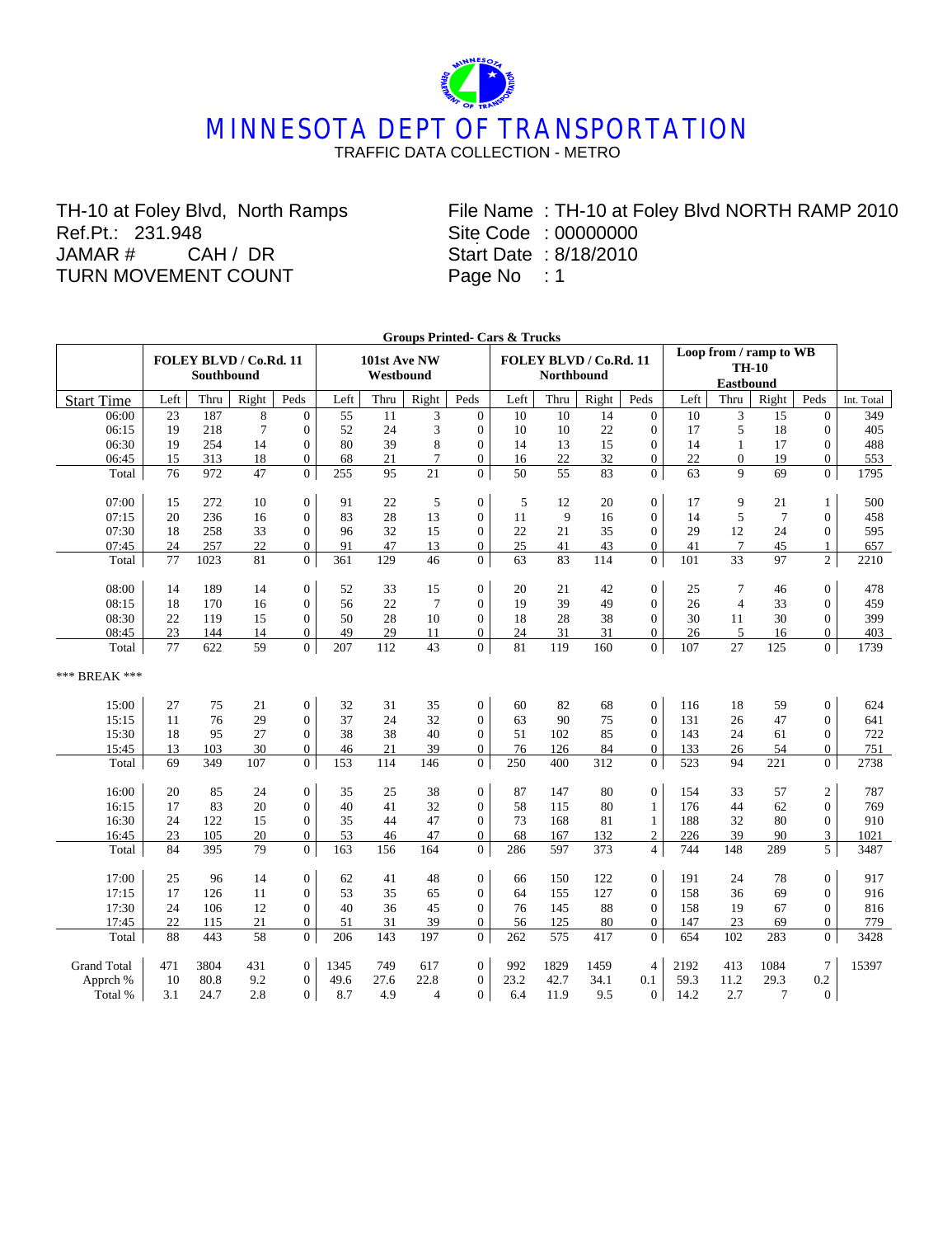## **MINNESOTA DEPT OF TRANSPORTATION** TRAFFIC DATA COLLECTION - METRO

TH-10 at Foley Blvd, North Ramps Ref.Pt.: 231.948<br>JAMAR # CA CAH / DR TURN MOVEMENT COUNT

. File Name : TH-10 at Foley Blvd NORTH RAMP 2010 Site Code : 00000000 Start Date : 8/18/2010 Page No : 1

|                    | <b>Groups Printed- Cars &amp; Trucks</b><br>Loop from / ramp to WB |                   |                        |                  |      |                           |                |                  |      |                   |                        |                  |      |                |                |                  |            |
|--------------------|--------------------------------------------------------------------|-------------------|------------------------|------------------|------|---------------------------|----------------|------------------|------|-------------------|------------------------|------------------|------|----------------|----------------|------------------|------------|
|                    |                                                                    | <b>Southbound</b> | FOLEY BLVD / Co.Rd. 11 |                  |      | 101st Ave NW<br>Westbound |                |                  |      | <b>Northbound</b> | FOLEY BLVD / Co.Rd. 11 |                  |      |                |                |                  |            |
| <b>Start Time</b>  | Left                                                               | Thru              | Right                  | Peds             | Left | Thru                      | Right          | Peds             | Left | Thru              | Right                  | Peds             | Left | Thru           | Right          | Peds             | Int. Total |
| 06:00              | 23                                                                 | 187               | 8                      | $\mathbf{0}$     | 55   | 11                        | 3              | $\mathbf{0}$     | 10   | 10                | 14                     | $\overline{0}$   | 10   | 3              | 15             | $\Omega$         | 349        |
| 06:15              | 19                                                                 | 218               | $\overline{7}$         | $\boldsymbol{0}$ | 52   | 24                        | 3              | $\boldsymbol{0}$ | 10   | 10                | 22                     | $\boldsymbol{0}$ | 17   | 5              | 18             | $\boldsymbol{0}$ | 405        |
| 06:30              | 19                                                                 | 254               | 14                     | $\boldsymbol{0}$ | 80   | 39                        | 8              | $\boldsymbol{0}$ | 14   | 13                | 15                     | $\overline{0}$   | 14   | $\mathbf{1}$   | 17             | $\overline{0}$   | 488        |
| 06:45              | 15                                                                 | 313               | 18                     | $\overline{0}$   | 68   | 21                        | $\overline{7}$ | $\Omega$         | 16   | 22                | 32                     | $\Omega$         | 22   | $\theta$       | 19             | $\Omega$         | 553        |
| Total              | 76                                                                 | 972               | 47                     | $\Omega$         | 255  | 95                        | 21             | $\overline{0}$   | 50   | 55                | 83                     | $\Omega$         | 63   | $\mathbf{Q}$   | 69             | $\overline{0}$   | 1795       |
|                    |                                                                    |                   |                        |                  |      |                           |                |                  |      |                   |                        |                  |      |                |                |                  |            |
| 07:00              | 15                                                                 | 272               | 10                     | $\boldsymbol{0}$ | 91   | 22                        | 5              | $\boldsymbol{0}$ | 5    | 12                | 20                     | $\overline{0}$   | 17   | 9              | 21             | 1                | 500        |
| 07:15              | 20                                                                 | 236               | 16                     | $\boldsymbol{0}$ | 83   | 28                        | 13             | $\boldsymbol{0}$ | 11   | 9                 | 16                     | $\overline{0}$   | 14   | 5              | $\overline{7}$ | $\overline{0}$   | 458        |
| 07:30              | 18                                                                 | 258               | 33                     | $\mathbf{0}$     | 96   | 32                        | 15             | $\mathbf{0}$     | 22   | 21                | 35                     | $\overline{0}$   | 29   | 12             | 24             | $\Omega$         | 595        |
| 07:45              | 24                                                                 | 257               | 22                     | $\overline{0}$   | 91   | 47                        | 13             | $\overline{0}$   | 25   | 41                | 43                     | $\overline{0}$   | 41   | $\overline{7}$ | 45             | 1                | 657        |
| Total              | 77                                                                 | 1023              | 81                     | $\overline{0}$   | 361  | 129                       | 46             | $\overline{0}$   | 63   | 83                | 114                    | $\overline{0}$   | 101  | 33             | 97             | $\overline{2}$   | 2210       |
| 08:00              | 14                                                                 | 189               | 14                     | $\boldsymbol{0}$ | 52   | 33                        | 15             | $\boldsymbol{0}$ | 20   | 21                | 42                     | $\boldsymbol{0}$ | 25   | 7              | 46             | $\overline{0}$   | 478        |
| 08:15              | 18                                                                 | 170               | 16                     | $\overline{0}$   | 56   | 22                        | $\overline{7}$ | $\overline{0}$   | 19   | 39                | 49                     | $\overline{0}$   | 26   | $\overline{4}$ | 33             | $\Omega$         | 459        |
| 08:30              | 22                                                                 | 119               | 15                     | $\overline{0}$   | 50   | 28                        | 10             | $\overline{0}$   | 18   | 28                | 38                     | $\overline{0}$   | 30   | 11             | 30             | $\overline{0}$   | 399        |
| 08:45              | 23                                                                 | 144               | 14                     | $\overline{0}$   | 49   | 29                        | 11             | $\boldsymbol{0}$ | 24   | 31                | 31                     | $\overline{0}$   | 26   | 5              | 16             | $\overline{0}$   | 403        |
| Total              | 77                                                                 | 622               | 59                     | $\overline{0}$   | 207  | 112                       | 43             | $\overline{0}$   | 81   | 119               | 160                    | $\overline{0}$   | 107  | 27             | 125            | $\overline{0}$   | 1739       |
| *** BREAK ***      |                                                                    |                   |                        |                  |      |                           |                |                  |      |                   |                        |                  |      |                |                |                  |            |
| 15:00              | 27                                                                 | 75                | 21                     | $\boldsymbol{0}$ | 32   | 31                        | 35             | $\boldsymbol{0}$ | 60   | 82                | 68                     | $\boldsymbol{0}$ | 116  | 18             | 59             | $\mathbf{0}$     | 624        |
| 15:15              | 11                                                                 | 76                | 29                     | $\overline{0}$   | 37   | 24                        | 32             | $\overline{0}$   | 63   | 90                | 75                     | $\overline{0}$   | 131  | 26             | 47             | $\overline{0}$   | 641        |
| 15:30              | 18                                                                 | 95                | 27                     | $\overline{0}$   | 38   | 38                        | 40             | $\overline{0}$   | 51   | 102               | 85                     | $\overline{0}$   | 143  | 24             | 61             | $\overline{0}$   | 722        |
| 15:45              | 13                                                                 | 103               | 30                     | $\overline{0}$   | 46   | 21                        | 39             | $\overline{0}$   | 76   | 126               | 84                     | $\overline{0}$   | 133  | 26             | 54             | $\overline{0}$   | 751        |
| Total              | 69                                                                 | 349               | 107                    | $\overline{0}$   | 153  | 114                       | 146            | $\overline{0}$   | 250  | 400               | 312                    | $\overline{0}$   | 523  | 94             | 221            | $\overline{0}$   | 2738       |
| 16:00              | 20                                                                 | 85                | 24                     | $\boldsymbol{0}$ | 35   | 25                        | 38             | $\boldsymbol{0}$ | 87   | 147               | 80                     | $\boldsymbol{0}$ | 154  | 33             | 57             | $\boldsymbol{2}$ | 787        |
| 16:15              | 17                                                                 | 83                | 20                     | $\overline{0}$   | 40   | 41                        | 32             | $\overline{0}$   | 58   | 115               | 80                     | $\mathbf{1}$     | 176  | 44             | 62             | $\overline{0}$   | 769        |
| 16:30              | 24                                                                 | 122               | 15                     | $\overline{0}$   | 35   | 44                        | 47             | $\overline{0}$   | 73   | 168               | 81                     | $\mathbf{1}$     | 188  | 32             | 80             | $\overline{0}$   | 910        |
| 16:45              | 23                                                                 | 105               | 20                     | $\mathbf{0}$     | 53   | 46                        | 47             | $\mathbf{0}$     | 68   | 167               | 132                    | $\mathfrak{2}$   | 226  | 39             | 90             | 3                | 1021       |
| Total              | 84                                                                 | 395               | 79                     | $\overline{0}$   | 163  | 156                       | 164            | $\overline{0}$   | 286  | 597               | 373                    | $\overline{4}$   | 744  | 148            | 289            | 5                | 3487       |
| 17:00              | 25                                                                 | 96                | 14                     | $\boldsymbol{0}$ | 62   | 41                        | 48             | $\boldsymbol{0}$ | 66   | 150               | 122                    | $\overline{0}$   | 191  | 24             | 78             | $\mathbf{0}$     | 917        |
| 17:15              | 17                                                                 | 126               | 11                     | $\overline{0}$   | 53   | 35                        | 65             | $\overline{0}$   | 64   | 155               | 127                    | $\overline{0}$   | 158  | 36             | 69             | $\overline{0}$   | 916        |
| 17:30              | 24                                                                 | 106               | 12                     | $\overline{0}$   | 40   | 36                        | 45             | $\mathbf{0}$     | 76   | 145               | 88                     | $\mathbf{0}$     | 158  | 19             | 67             | $\theta$         | 816        |
| 17:45              | 22                                                                 | 115               | 21                     | $\overline{0}$   | 51   | 31                        | 39             | $\boldsymbol{0}$ | 56   | 125               | 80                     | $\overline{0}$   | 147  | 23             | 69             | $\mathbf{0}$     | 779        |
| Total              | 88                                                                 | 443               | 58                     | $\overline{0}$   | 206  | 143                       | 197            | $\boldsymbol{0}$ | 262  | 575               | 417                    | $\boldsymbol{0}$ | 654  | 102            | 283            | $\mathbf{0}$     | 3428       |
|                    |                                                                    |                   |                        |                  |      |                           |                |                  |      |                   |                        |                  |      |                |                |                  |            |
| <b>Grand Total</b> | 471                                                                | 3804              | 431                    | $\boldsymbol{0}$ | 1345 | 749                       | 617            | $\mathbf{0}$     | 992  | 1829              | 1459                   | $\overline{4}$   | 2192 | 413            | 1084           | $\tau$           | 15397      |
| Apprch %           | 10                                                                 | 80.8              | 9.2                    | $\boldsymbol{0}$ | 49.6 | 27.6                      | 22.8           | $\overline{0}$   | 23.2 | 42.7              | 34.1                   | 0.1              | 59.3 | 11.2           | 29.3           | 0.2              |            |
| Total %            | 3.1                                                                | 24.7              | 2.8                    | $\overline{0}$   | 8.7  | 4.9                       | $\overline{4}$ | $\Omega$         | 6.4  | 11.9              | 9.5                    | $\overline{0}$   | 14.2 | 2.7            | 7              | $\Omega$         |            |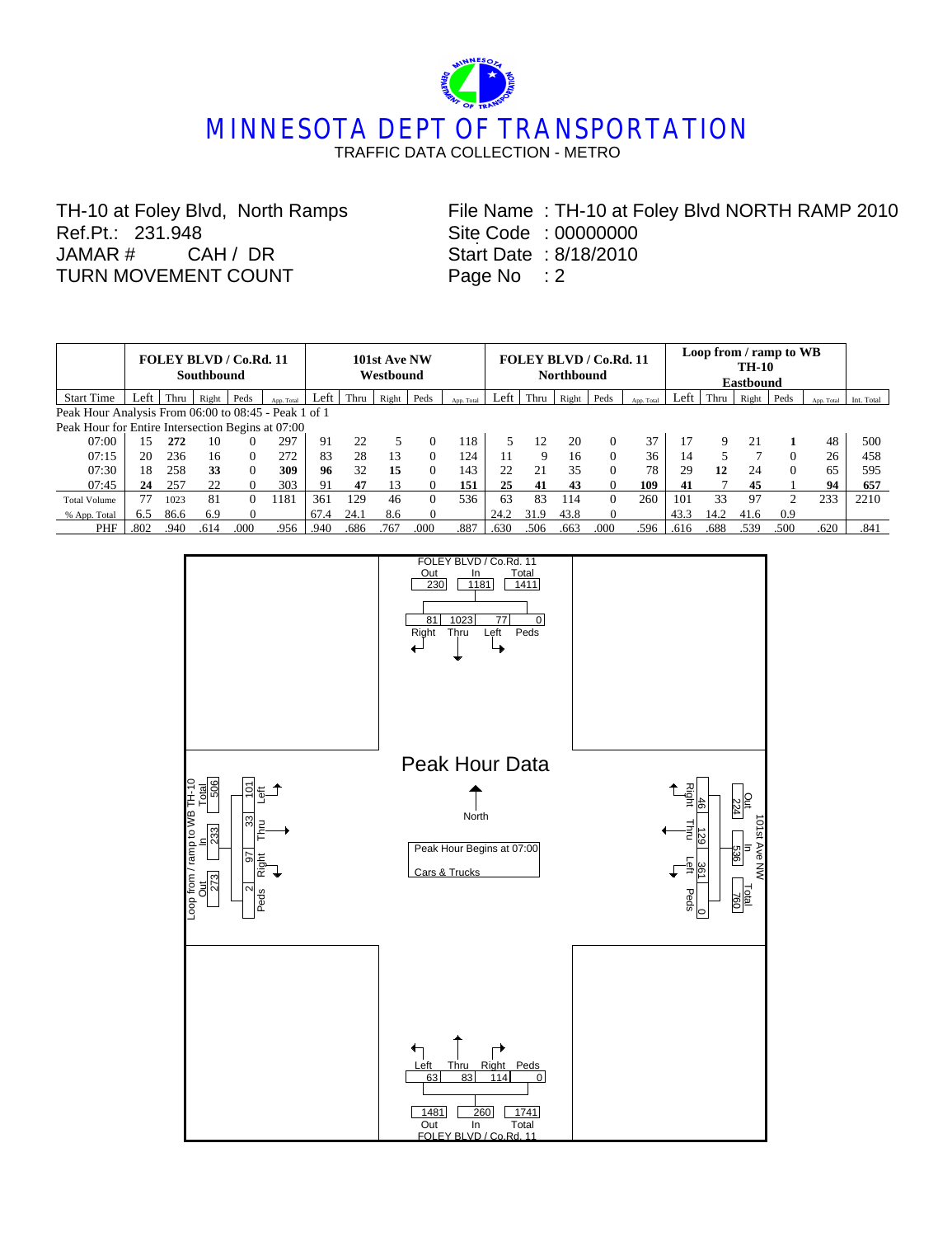## **MINNESOTA DEPT OF TRANSPORTATION** TRAFFIC DATA COLLECTION - METRO

TH-10 at Foley Blvd, North Ramps Ref.Pt.: 231.948 JAMAR # CAH / DR TURN MOVEMENT COUNT

. File Name : TH-10 at Foley Blvd NORTH RAMP 2010 Site Code : 00000000 Start Date : 8/18/2010 Page No : 2

|                                                   | FOLEY BLVD / Co.Rd. 11<br><b>Southbound</b>          |      |       |          |            |      | 101st Ave NW<br>Westbound |       |          |            |      |      | <b>Northbound</b> | FOLEY BLVD / Co.Rd. 11 |            | Loop from / ramp to WB |      |       |                             |            |            |
|---------------------------------------------------|------------------------------------------------------|------|-------|----------|------------|------|---------------------------|-------|----------|------------|------|------|-------------------|------------------------|------------|------------------------|------|-------|-----------------------------|------------|------------|
| <b>Start Time</b>                                 | Left                                                 | Thru | Right | Peds     | App. Total | Left | Thru                      | Right | Peds     | App. Total | Left | Thru | Right             | Peds                   | App. Total | Left                   | Thru | Right | Peds                        | App. Total | Int. Total |
|                                                   | Peak Hour Analysis From 06:00 to 08:45 - Peak 1 of 1 |      |       |          |            |      |                           |       |          |            |      |      |                   |                        |            |                        |      |       |                             |            |            |
| Peak Hour for Entire Intersection Begins at 07:00 |                                                      |      |       |          |            |      |                           |       |          |            |      |      |                   |                        |            |                        |      |       |                             |            |            |
| 07:00                                             | 15                                                   | 272  | 10    |          | 297        | 91   | 22                        |       | $\Omega$ | 118        |      | 12   | 20                | $\Omega$               | 37         |                        | 9    | 21    |                             | 48         | 500        |
| 07:15                                             | 20                                                   | 236  | 16    | $\Omega$ | 272        | 83   | 28                        | 13    | $\Omega$ | 124        | 11   | 9    | 16                | $\Omega$               | 36         | 14                     |      |       | $\Omega$                    | 26         | 458        |
| 07:30                                             | 18                                                   | 258  | 33    | 0        | 309        | 96   | 32                        | 15    | $\Omega$ | 143        | 22   | 21   | 35                | $\Omega$               | 78         | 29                     | 12   | 24    | $\Omega$                    | 65         | 595        |
| 07:45                                             | 24                                                   | 257  | 22    |          | 303        | 91   | 47                        | 13    |          | 151        | 25   | 41   | 43                | $\Omega$               | 109        | 41                     | ⇁    | 45    |                             | 94         | 657        |
| <b>Total Volume</b>                               | 77                                                   | 1023 | 81    |          | 1181       | 361  | 129                       | 46    | $\Omega$ | 536        | 63   | 83   | 114               | $\Omega$               | 260        | 101                    | 33   | 97    | $\mathcal{D}_{\mathcal{L}}$ | 233        | 2210       |
| % App. Total                                      | 6.5                                                  | 86.6 | 6.9   |          |            | 67.4 | 24.1                      | 8.6   | 0        |            | 24.2 | 31.9 | 43.8              | $\Omega$               |            | 43.3                   | 14.2 | 41.6  | 0.9                         |            |            |
| PHF                                               | .802                                                 | .940 | .614  | .000     | .956       | .940 | .686                      | .767  | .000     | .887       | .630 | .506 | .663              | .000                   | .596       | .616                   | .688 | .539  | .500                        | .620       | .841       |